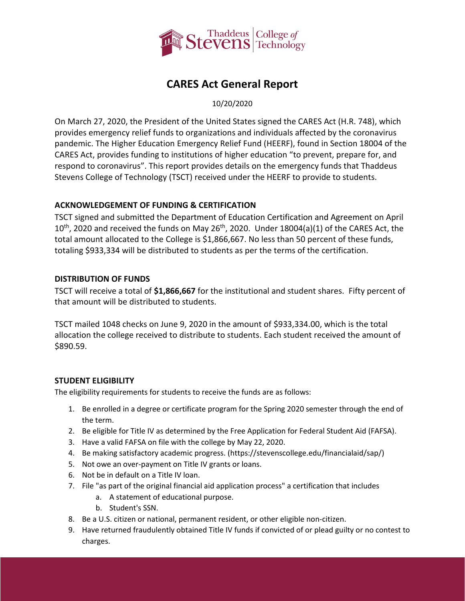

# **CARES Act General Report**

10/20/2020

On March 27, 2020, the President of the United States signed the CARES Act (H.R. 748), which provides emergency relief funds to organizations and individuals affected by the coronavirus pandemic. The Higher Education Emergency Relief Fund (HEERF), found in Section 18004 of the CARES Act, provides funding to institutions of higher education "to prevent, prepare for, and respond to coronavirus". This report provides details on the emergency funds that Thaddeus Stevens College of Technology (TSCT) received under the HEERF to provide to students.

## **ACKNOWLEDGEMENT OF FUNDING & CERTIFICATION**

TSCT signed and submitted the [Department of Education Certification and Agreement](https://www2.ed.gov/about/offices/list/ope/heerfstudentscertificationagreement42020.pdf) on April  $10^{th}$ , 2020 and received the funds on May 26<sup>th</sup>, 2020. Under 18004(a)(1) of the CARES Act, the total amount allocated to the College is \$1,866,667. No less than 50 percent of these funds, totaling \$933,334 will be distributed to students as per the terms of the certification.

## **DISTRIBUTION OF FUNDS**

TSCT will receive a total of **\$1,866,667** for the institutional and student shares. Fifty percent of that amount will be distributed to students.

TSCT mailed 1048 checks on June 9, 2020 in the amount of \$933,334.00, which is the total allocation the college received to distribute to students. Each student received the amount of \$890.59.

#### **STUDENT ELIGIBILITY**

The eligibility requirements for students to receive the funds are as follows:

- 1. Be enrolled in a degree or certificate program for the Spring 2020 semester through the end of the term.
- 2. Be eligible for Title IV as determined by the Free Application for Federal Student Aid (FAFSA).
- 3. Have a valid FAFSA on file with the college by May 22, 2020.
- 4. Be making satisfactory academic progress. [\(https://stevenscollege.edu/financialaid/sap/\)](https://stevenscollege.edu/financialaid/sap/)
- 5. Not owe an over-payment on Title IV grants or loans.
- 6. Not be in default on a Title IV loan.
- 7. File "as part of the original financial aid application process" a certification that includes
	- a. A statement of educational purpose.
	- b. Student's SSN.
- 8. Be a U.S. citizen or national, permanent resident, or other eligible non-citizen.
- 9. Have returned fraudulently obtained Title IV funds if convicted of or plead guilty or no contest to charges.